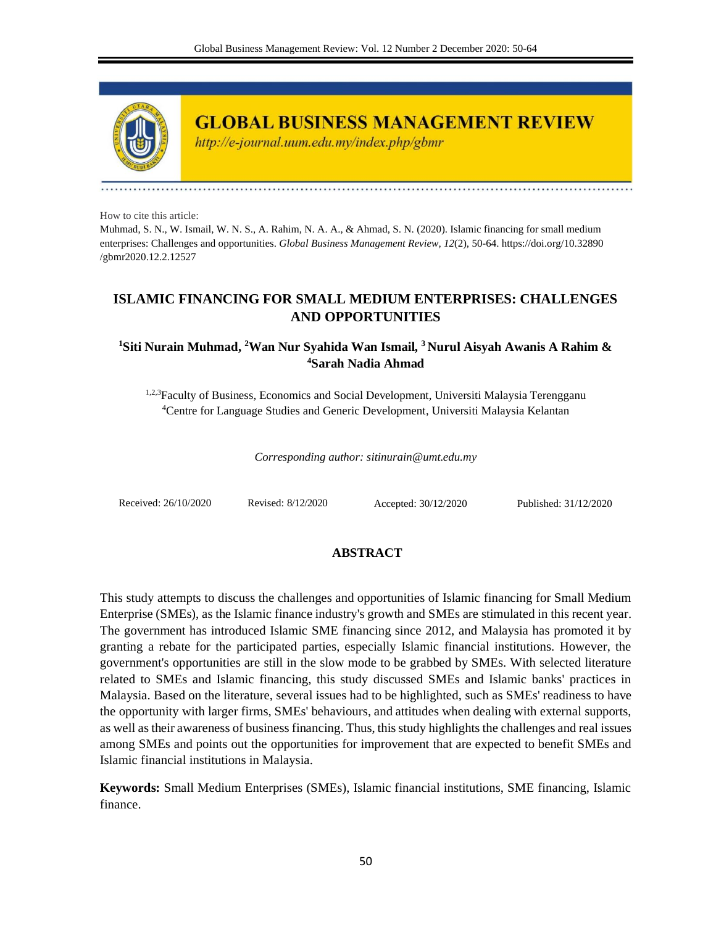

**GLOBAL BUSINESS MANAGEMENT REVIEW** 

http://e-journal.uum.edu.my/index.php/gbmr

How to cite this article:

Muhmad, S. N., W. Ismail, W. N. S., A. Rahim, N. A. A., & Ahmad, S. N. (2020). Islamic financing for small medium enterprises: Challenges and opportunities. *Global Business Management Review, 12*(2), 50-64. https://doi.org/10.32890 /gbmr2020.12.2.12527

# **ISLAMIC FINANCING FOR SMALL MEDIUM ENTERPRISES: CHALLENGES AND OPPORTUNITIES**

## **<sup>1</sup>Siti Nurain Muhmad, <sup>2</sup>Wan Nur Syahida Wan Ismail, <sup>3</sup> Nurul Aisyah Awanis A Rahim & <sup>4</sup>Sarah Nadia Ahmad**

1,2,3Faculty of Business, Economics and Social Development, Universiti Malaysia Terengganu <sup>4</sup>Centre for Language Studies and Generic Development, Universiti Malaysia Kelantan

*Corresponding author: sitinurain@umt.edu.my*

Received: 26/10/2020 Revised: 8/12/2020 Accepted: 30/12/2020 Published: 31/12/2020

## **ABSTRACT**

This study attempts to discuss the challenges and opportunities of Islamic financing for Small Medium Enterprise (SMEs), as the Islamic finance industry's growth and SMEs are stimulated in this recent year. The government has introduced Islamic SME financing since 2012, and Malaysia has promoted it by granting a rebate for the participated parties, especially Islamic financial institutions. However, the government's opportunities are still in the slow mode to be grabbed by SMEs. With selected literature related to SMEs and Islamic financing, this study discussed SMEs and Islamic banks' practices in Malaysia. Based on the literature, several issues had to be highlighted, such as SMEs' readiness to have the opportunity with larger firms, SMEs' behaviours, and attitudes when dealing with external supports, as well as their awareness of business financing. Thus, this study highlights the challenges and real issues among SMEs and points out the opportunities for improvement that are expected to benefit SMEs and Islamic financial institutions in Malaysia.

**Keywords:** Small Medium Enterprises (SMEs), Islamic financial institutions, SME financing, Islamic finance.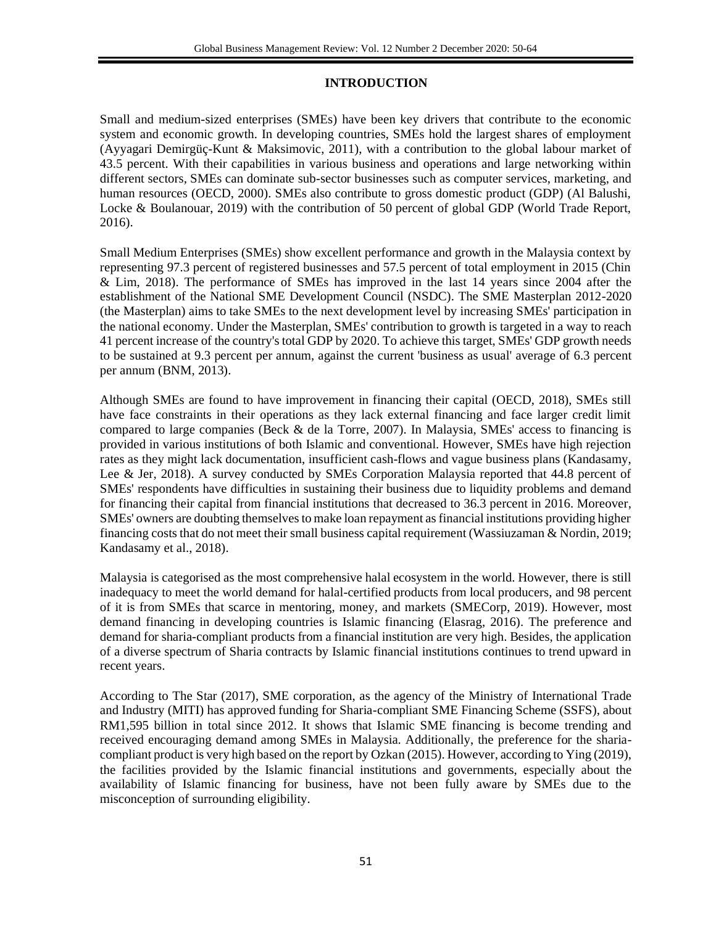## **INTRODUCTION**

Small and medium-sized enterprises (SMEs) have been key drivers that contribute to the economic system and economic growth. In developing countries, SMEs hold the largest shares of employment (Ayyagari Demirgüç-Kunt & Maksimovic, 2011), with a contribution to the global labour market of 43.5 percent. With their capabilities in various business and operations and large networking within different sectors, SMEs can dominate sub-sector businesses such as computer services, marketing, and human resources (OECD, 2000). SMEs also contribute to gross domestic product (GDP) (Al Balushi, Locke & Boulanouar, 2019) with the contribution of 50 percent of global GDP (World Trade Report, 2016).

Small Medium Enterprises (SMEs) show excellent performance and growth in the Malaysia context by representing 97.3 percent of registered businesses and 57.5 percent of total employment in 2015 (Chin & Lim, 2018). The performance of SMEs has improved in the last 14 years since 2004 after the establishment of the National SME Development Council (NSDC). The SME Masterplan 2012-2020 (the Masterplan) aims to take SMEs to the next development level by increasing SMEs' participation in the national economy. Under the Masterplan, SMEs' contribution to growth is targeted in a way to reach 41 percent increase of the country's total GDP by 2020. To achieve this target, SMEs' GDP growth needs to be sustained at 9.3 percent per annum, against the current 'business as usual' average of 6.3 percent per annum (BNM, 2013).

Although SMEs are found to have improvement in financing their capital (OECD, 2018), SMEs still have face constraints in their operations as they lack external financing and face larger credit limit compared to large companies (Beck & de la Torre, 2007). In Malaysia, SMEs' access to financing is provided in various institutions of both Islamic and conventional. However, SMEs have high rejection rates as they might lack documentation, insufficient cash-flows and vague business plans (Kandasamy, Lee & Jer, 2018). A survey conducted by SMEs Corporation Malaysia reported that 44.8 percent of SMEs' respondents have difficulties in sustaining their business due to liquidity problems and demand for financing their capital from financial institutions that decreased to 36.3 percent in 2016. Moreover, SMEs' owners are doubting themselves to make loan repayment as financial institutions providing higher financing costs that do not meet their small business capital requirement (Wassiuzaman & Nordin, 2019; Kandasamy et al., 2018).

Malaysia is categorised as the most comprehensive halal ecosystem in the world. However, there is still inadequacy to meet the world demand for halal-certified products from local producers, and 98 percent of it is from SMEs that scarce in mentoring, money, and markets (SMECorp, 2019). However, most demand financing in developing countries is Islamic financing (Elasrag, 2016). The preference and demand for sharia-compliant products from a financial institution are very high. Besides, the application of a diverse spectrum of Sharia contracts by Islamic financial institutions continues to trend upward in recent years.

According to The Star (2017), SME corporation, as the agency of the Ministry of International Trade and Industry (MITI) has approved funding for Sharia-compliant SME Financing Scheme (SSFS), about RM1,595 billion in total since 2012. It shows that Islamic SME financing is become trending and received encouraging demand among SMEs in Malaysia. Additionally, the preference for the shariacompliant product is very high based on the report by Ozkan (2015). However, according to Ying (2019), the facilities provided by the Islamic financial institutions and governments, especially about the availability of Islamic financing for business, have not been fully aware by SMEs due to the misconception of surrounding eligibility.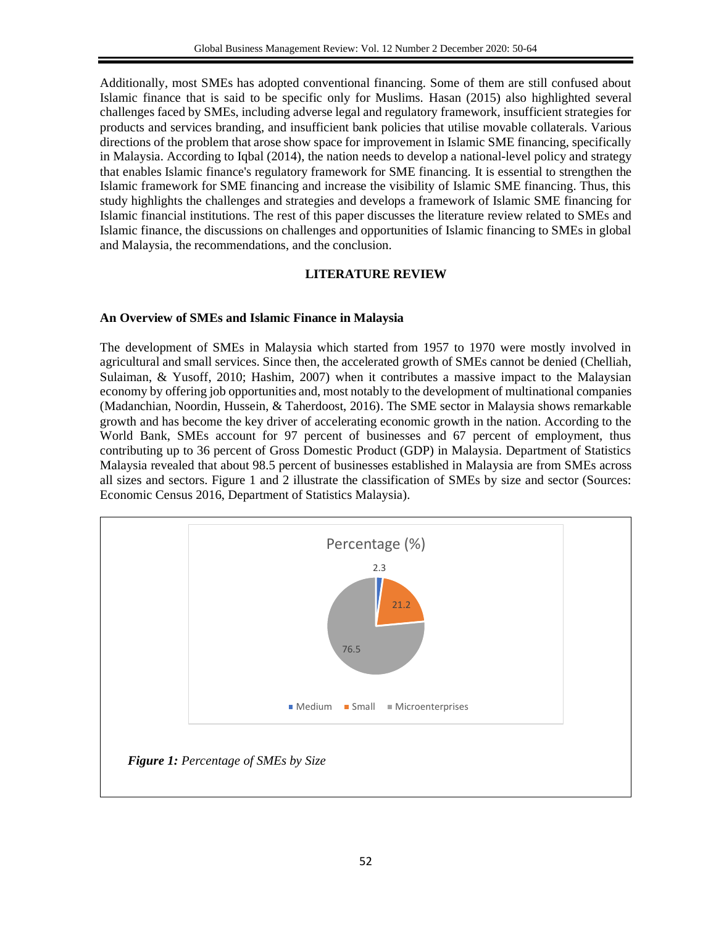Additionally, most SMEs has adopted conventional financing. Some of them are still confused about Islamic finance that is said to be specific only for Muslims. Hasan (2015) also highlighted several challenges faced by SMEs, including adverse legal and regulatory framework, insufficient strategies for products and services branding, and insufficient bank policies that utilise movable collaterals. Various directions of the problem that arose show space for improvement in Islamic SME financing, specifically in Malaysia. According to Iqbal (2014), the nation needs to develop a national-level policy and strategy that enables Islamic finance's regulatory framework for SME financing. It is essential to strengthen the Islamic framework for SME financing and increase the visibility of Islamic SME financing. Thus, this study highlights the challenges and strategies and develops a framework of Islamic SME financing for Islamic financial institutions. The rest of this paper discusses the literature review related to SMEs and Islamic finance, the discussions on challenges and opportunities of Islamic financing to SMEs in global and Malaysia, the recommendations, and the conclusion.

## **LITERATURE REVIEW**

## **An Overview of SMEs and Islamic Finance in Malaysia**

The development of SMEs in Malaysia which started from 1957 to 1970 were mostly involved in agricultural and small services. Since then, the accelerated growth of SMEs cannot be denied (Chelliah, Sulaiman, & Yusoff, 2010; Hashim, 2007) when it contributes a massive impact to the Malaysian economy by offering job opportunities and, most notably to the development of multinational companies (Madanchian, Noordin, Hussein, & Taherdoost, 2016). The SME sector in Malaysia shows remarkable growth and has become the key driver of accelerating economic growth in the nation. According to the World Bank, SMEs account for 97 percent of businesses and 67 percent of employment, thus contributing up to 36 percent of Gross Domestic Product (GDP) in Malaysia. Department of Statistics Malaysia revealed that about 98.5 percent of businesses established in Malaysia are from SMEs across all sizes and sectors. Figure 1 and 2 illustrate the classification of SMEs by size and sector (Sources: Economic Census 2016, Department of Statistics Malaysia).

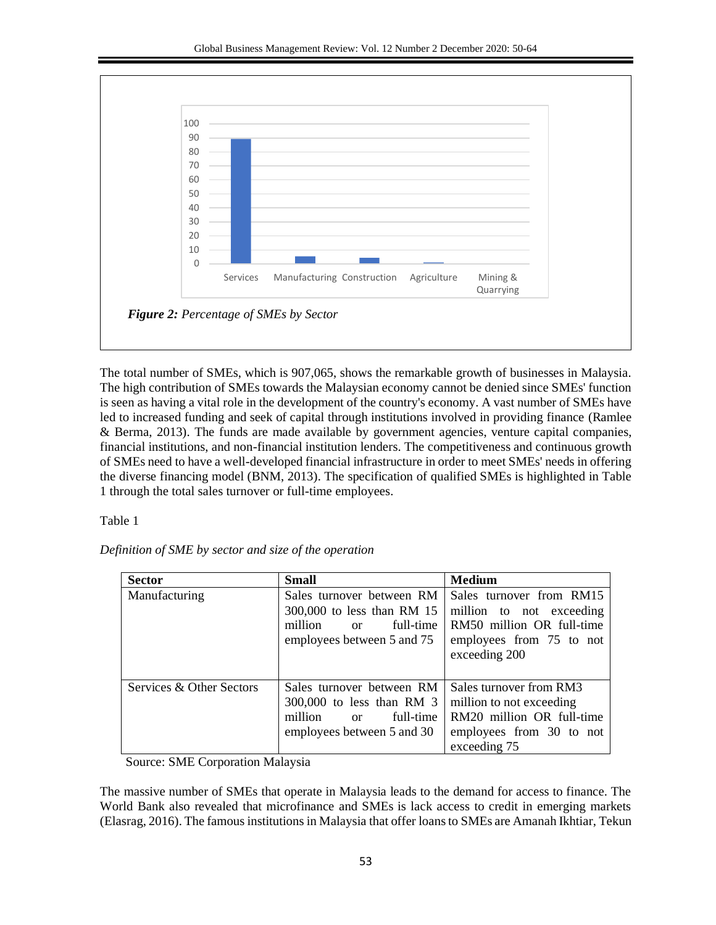

The total number of SMEs, which is 907,065, shows the remarkable growth of businesses in Malaysia. The high contribution of SMEs towards the Malaysian economy cannot be denied since SMEs' function is seen as having a vital role in the development of the country's economy. A vast number of SMEs have led to increased funding and seek of capital through institutions involved in providing finance (Ramlee & Berma, 2013). The funds are made available by government agencies, venture capital companies, financial institutions, and non-financial institution lenders. The competitiveness and continuous growth of SMEs need to have a well-developed financial infrastructure in order to meet SMEs' needs in offering the diverse financing model (BNM, 2013). The specification of qualified SMEs is highlighted in Table 1 through the total sales turnover or full-time employees.

Table 1

| Definition of SME by sector and size of the operation |  |  |  |  |  |  |  |
|-------------------------------------------------------|--|--|--|--|--|--|--|
|-------------------------------------------------------|--|--|--|--|--|--|--|

| <b>Sector</b>            | <b>Small</b>                                                                                                              | <b>Medium</b>                                                                                                                  |
|--------------------------|---------------------------------------------------------------------------------------------------------------------------|--------------------------------------------------------------------------------------------------------------------------------|
| Manufacturing            | Sales turnover between RM<br>300,000 to less than RM 15<br>full-time<br>million<br>$\alpha$<br>employees between 5 and 75 | Sales turnover from RM15<br>million to not exceeding<br>RM50 million OR full-time<br>employees from 75 to not<br>exceeding 200 |
| Services & Other Sectors | Sales turnover between RM<br>300,000 to less than RM 3<br>million<br>full-time<br>$\alpha$<br>employees between 5 and 30  | Sales turnover from RM3<br>million to not exceeding<br>RM20 million OR full-time<br>employees from 30 to not<br>exceeding 75   |

Source: SME Corporation Malaysia

The massive number of SMEs that operate in Malaysia leads to the demand for access to finance. The World Bank also revealed that microfinance and SMEs is lack access to credit in emerging markets (Elasrag, 2016). The famous institutions in Malaysia that offer loans to SMEs are Amanah Ikhtiar, Tekun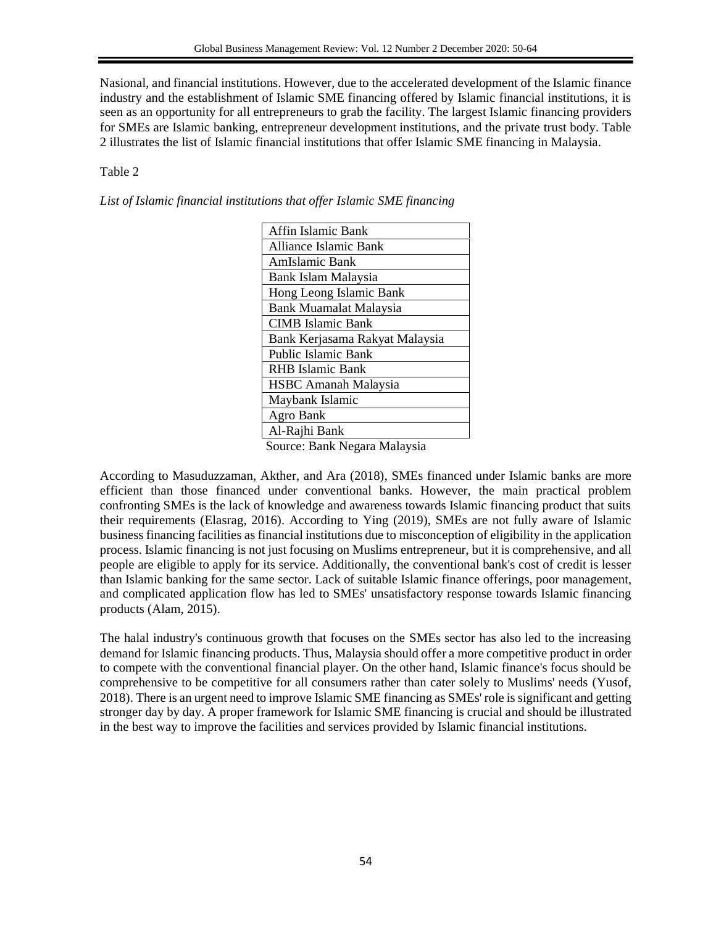Nasional, and financial institutions. However, due to the accelerated development of the Islamic finance industry and the establishment of Islamic SME financing offered by Islamic financial institutions, it is seen as an opportunity for all entrepreneurs to grab the facility. The largest Islamic financing providers for SMEs are Islamic banking, entrepreneur development institutions, and the private trust body. Table 2 illustrates the list of Islamic financial institutions that offer Islamic SME financing in Malaysia.

## Table 2

*List of Islamic financial institutions that offer Islamic SME financing*

| Affin Islamic Bank                                                |
|-------------------------------------------------------------------|
| Alliance Islamic Bank                                             |
| AmIslamic Bank                                                    |
| Bank Islam Malaysia                                               |
| Hong Leong Islamic Bank                                           |
| <b>Bank Muamalat Malaysia</b>                                     |
| <b>CIMB</b> Islamic Bank                                          |
| Bank Kerjasama Rakyat Malaysia                                    |
| <b>Public Islamic Bank</b>                                        |
| <b>RHB</b> Islamic Bank                                           |
| <b>HSBC</b> Amanah Malaysia                                       |
| Maybank Islamic                                                   |
| Agro Bank                                                         |
| Al-Rajhi Bank                                                     |
| ٠<br><b>A</b> <i>I</i> 1<br>$\mathbf{L}$ 1 $\mathbf{L}$<br>$\sim$ |

Source: Bank Negara Malaysia

According to Masuduzzaman, Akther, and Ara (2018), SMEs financed under Islamic banks are more efficient than those financed under conventional banks. However, the main practical problem confronting SMEs is the lack of knowledge and awareness towards Islamic financing product that suits their requirements (Elasrag, 2016). According to Ying (2019), SMEs are not fully aware of Islamic business financing facilities as financial institutions due to misconception of eligibility in the application process. Islamic financing is not just focusing on Muslims entrepreneur, but it is comprehensive, and all people are eligible to apply for its service. Additionally, the conventional bank's cost of credit is lesser than Islamic banking for the same sector. Lack of suitable Islamic finance offerings, poor management, and complicated application flow has led to SMEs' unsatisfactory response towards Islamic financing products (Alam, 2015).

The halal industry's continuous growth that focuses on the SMEs sector has also led to the increasing demand for Islamic financing products. Thus, Malaysia should offer a more competitive product in order to compete with the conventional financial player. On the other hand, Islamic finance's focus should be comprehensive to be competitive for all consumers rather than cater solely to Muslims' needs (Yusof, 2018). There is an urgent need to improve Islamic SME financing as SMEs' role is significant and getting stronger day by day. A proper framework for Islamic SME financing is crucial and should be illustrated in the best way to improve the facilities and services provided by Islamic financial institutions.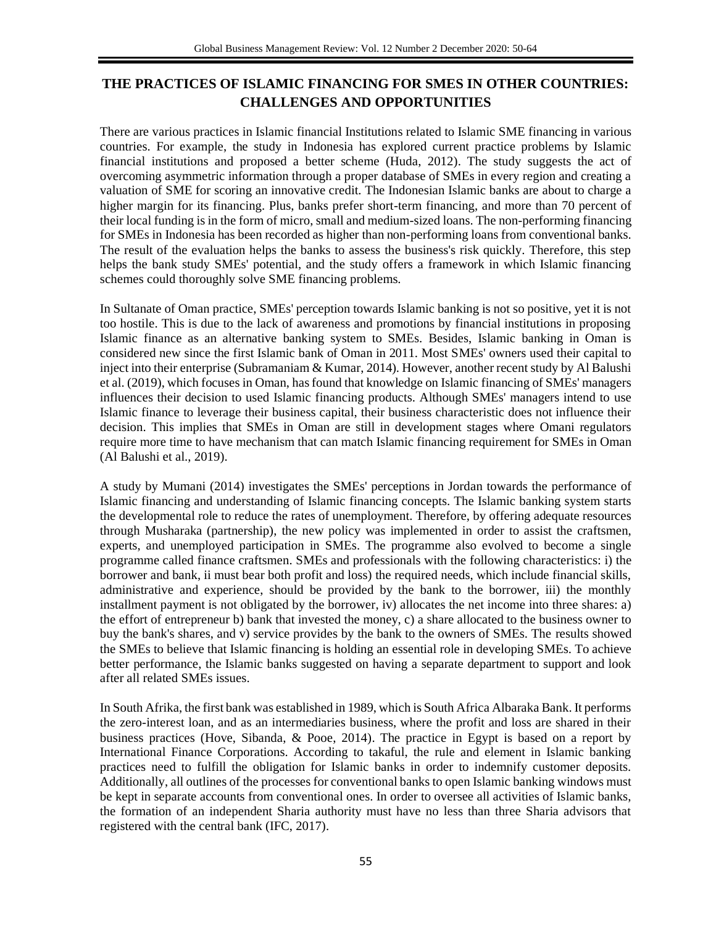# **THE PRACTICES OF ISLAMIC FINANCING FOR SMES IN OTHER COUNTRIES: CHALLENGES AND OPPORTUNITIES**

There are various practices in Islamic financial Institutions related to Islamic SME financing in various countries. For example, the study in Indonesia has explored current practice problems by Islamic financial institutions and proposed a better scheme (Huda, 2012). The study suggests the act of overcoming asymmetric information through a proper database of SMEs in every region and creating a valuation of SME for scoring an innovative credit. The Indonesian Islamic banks are about to charge a higher margin for its financing. Plus, banks prefer short-term financing, and more than 70 percent of their local funding is in the form of micro, small and medium-sized loans. The non-performing financing for SMEs in Indonesia has been recorded as higher than non-performing loans from conventional banks. The result of the evaluation helps the banks to assess the business's risk quickly. Therefore, this step helps the bank study SMEs' potential, and the study offers a framework in which Islamic financing schemes could thoroughly solve SME financing problems.

In Sultanate of Oman practice, SMEs' perception towards Islamic banking is not so positive, yet it is not too hostile. This is due to the lack of awareness and promotions by financial institutions in proposing Islamic finance as an alternative banking system to SMEs. Besides, Islamic banking in Oman is considered new since the first Islamic bank of Oman in 2011. Most SMEs' owners used their capital to inject into their enterprise (Subramaniam & Kumar, 2014). However, another recent study by Al Balushi et al. (2019), which focuses in Oman, has found that knowledge on Islamic financing of SMEs' managers influences their decision to used Islamic financing products. Although SMEs' managers intend to use Islamic finance to leverage their business capital, their business characteristic does not influence their decision. This implies that SMEs in Oman are still in development stages where Omani regulators require more time to have mechanism that can match Islamic financing requirement for SMEs in Oman (Al Balushi et al., 2019).

A study by Mumani (2014) investigates the SMEs' perceptions in Jordan towards the performance of Islamic financing and understanding of Islamic financing concepts. The Islamic banking system starts the developmental role to reduce the rates of unemployment. Therefore, by offering adequate resources through Musharaka (partnership), the new policy was implemented in order to assist the craftsmen, experts, and unemployed participation in SMEs. The programme also evolved to become a single programme called finance craftsmen. SMEs and professionals with the following characteristics: i) the borrower and bank, ii must bear both profit and loss) the required needs, which include financial skills, administrative and experience, should be provided by the bank to the borrower, iii) the monthly installment payment is not obligated by the borrower, iv) allocates the net income into three shares: a) the effort of entrepreneur b) bank that invested the money, c) a share allocated to the business owner to buy the bank's shares, and v) service provides by the bank to the owners of SMEs. The results showed the SMEs to believe that Islamic financing is holding an essential role in developing SMEs. To achieve better performance, the Islamic banks suggested on having a separate department to support and look after all related SMEs issues.

In South Afrika, the first bank was established in 1989, which is South Africa Albaraka Bank. It performs the zero-interest loan, and as an intermediaries business, where the profit and loss are shared in their business practices (Hove, Sibanda, & Pooe, 2014). The practice in Egypt is based on a report by International Finance Corporations. According to takaful, the rule and element in Islamic banking practices need to fulfill the obligation for Islamic banks in order to indemnify customer deposits. Additionally, all outlines of the processes for conventional banks to open Islamic banking windows must be kept in separate accounts from conventional ones. In order to oversee all activities of Islamic banks, the formation of an independent Sharia authority must have no less than three Sharia advisors that registered with the central bank (IFC, 2017).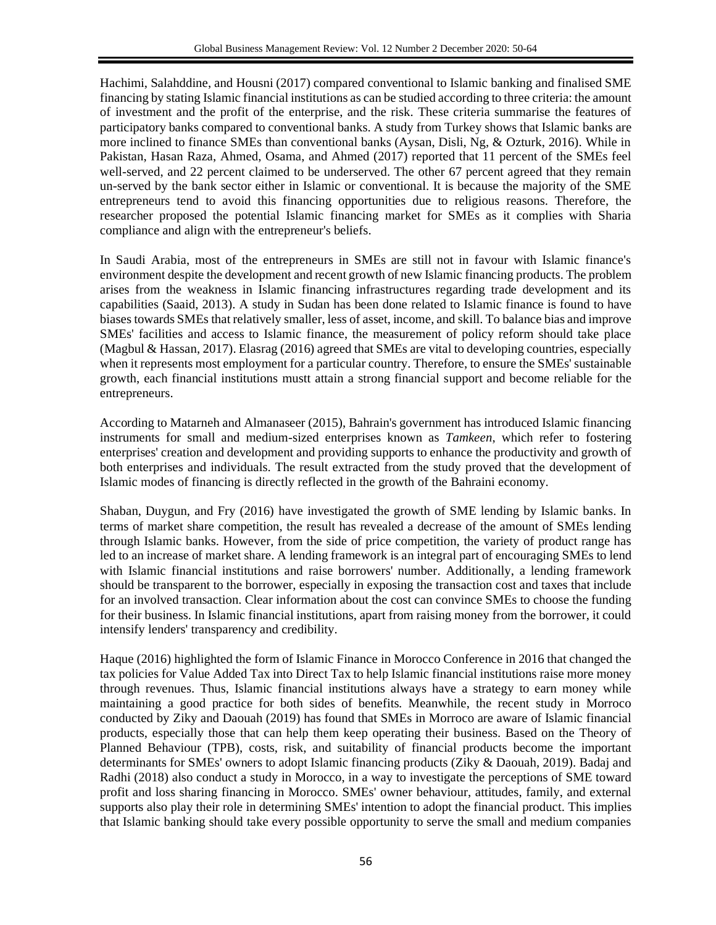Hachimi, Salahddine, and Housni (2017) compared conventional to Islamic banking and finalised SME financing by stating Islamic financial institutions as can be studied according to three criteria: the amount of investment and the profit of the enterprise, and the risk. These criteria summarise the features of participatory banks compared to conventional banks. A study from Turkey shows that Islamic banks are more inclined to finance SMEs than conventional banks (Aysan, Disli, Ng, & Ozturk, 2016). While in Pakistan, Hasan Raza, Ahmed, Osama, and Ahmed (2017) reported that 11 percent of the SMEs feel well-served, and 22 percent claimed to be underserved. The other 67 percent agreed that they remain un-served by the bank sector either in Islamic or conventional. It is because the majority of the SME entrepreneurs tend to avoid this financing opportunities due to religious reasons. Therefore, the researcher proposed the potential Islamic financing market for SMEs as it complies with Sharia compliance and align with the entrepreneur's beliefs.

In Saudi Arabia, most of the entrepreneurs in SMEs are still not in favour with Islamic finance's environment despite the development and recent growth of new Islamic financing products. The problem arises from the weakness in Islamic financing infrastructures regarding trade development and its capabilities (Saaid, 2013). A study in Sudan has been done related to Islamic finance is found to have biases towards SMEs that relatively smaller, less of asset, income, and skill. To balance bias and improve SMEs' facilities and access to Islamic finance, the measurement of policy reform should take place (Magbul & Hassan, 2017). Elasrag (2016) agreed that SMEs are vital to developing countries, especially when it represents most employment for a particular country. Therefore, to ensure the SMEs' sustainable growth, each financial institutions mustt attain a strong financial support and become reliable for the entrepreneurs.

According to Matarneh and Almanaseer (2015), Bahrain's government has introduced Islamic financing instruments for small and medium-sized enterprises known as *Tamkeen*, which refer to fostering enterprises' creation and development and providing supports to enhance the productivity and growth of both enterprises and individuals. The result extracted from the study proved that the development of Islamic modes of financing is directly reflected in the growth of the Bahraini economy.

Shaban, Duygun, and Fry (2016) have investigated the growth of SME lending by Islamic banks. In terms of market share competition, the result has revealed a decrease of the amount of SMEs lending through Islamic banks. However, from the side of price competition, the variety of product range has led to an increase of market share. A lending framework is an integral part of encouraging SMEs to lend with Islamic financial institutions and raise borrowers' number. Additionally, a lending framework should be transparent to the borrower, especially in exposing the transaction cost and taxes that include for an involved transaction. Clear information about the cost can convince SMEs to choose the funding for their business. In Islamic financial institutions, apart from raising money from the borrower, it could intensify lenders' transparency and credibility.

Haque (2016) highlighted the form of Islamic Finance in Morocco Conference in 2016 that changed the tax policies for Value Added Tax into Direct Tax to help Islamic financial institutions raise more money through revenues. Thus, Islamic financial institutions always have a strategy to earn money while maintaining a good practice for both sides of benefits. Meanwhile, the recent study in Morroco conducted by Ziky and Daouah (2019) has found that SMEs in Morroco are aware of Islamic financial products, especially those that can help them keep operating their business. Based on the Theory of Planned Behaviour (TPB), costs, risk, and suitability of financial products become the important determinants for SMEs' owners to adopt Islamic financing products (Ziky & Daouah, 2019). Badaj and Radhi (2018) also conduct a study in Morocco, in a way to investigate the perceptions of SME toward profit and loss sharing financing in Morocco. SMEs' owner behaviour, attitudes, family, and external supports also play their role in determining SMEs' intention to adopt the financial product. This implies that Islamic banking should take every possible opportunity to serve the small and medium companies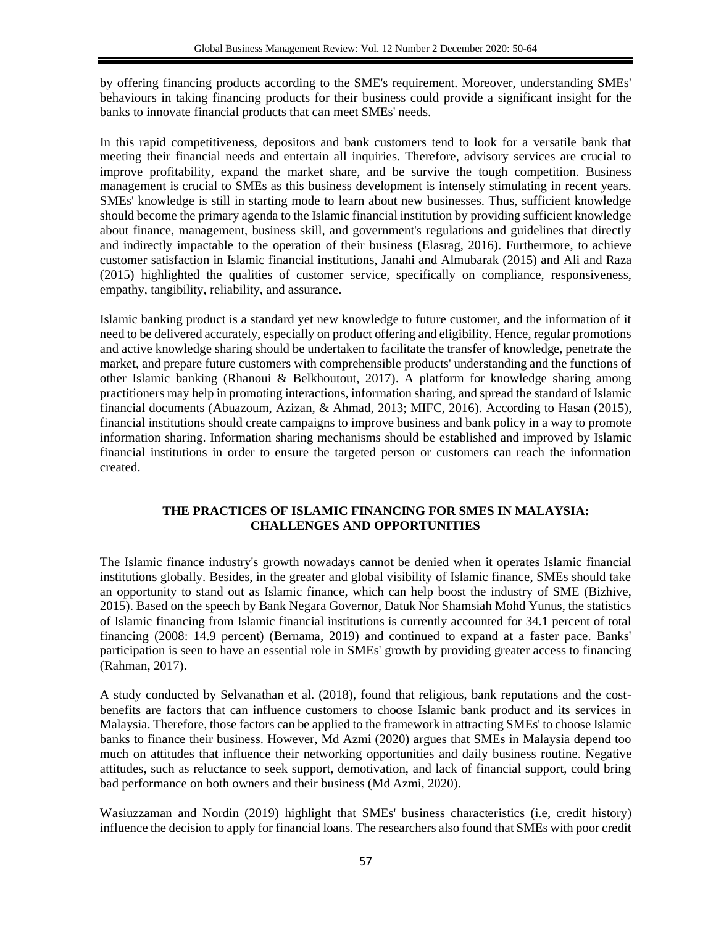by offering financing products according to the SME's requirement. Moreover, understanding SMEs' behaviours in taking financing products for their business could provide a significant insight for the banks to innovate financial products that can meet SMEs' needs.

In this rapid competitiveness, depositors and bank customers tend to look for a versatile bank that meeting their financial needs and entertain all inquiries. Therefore, advisory services are crucial to improve profitability, expand the market share, and be survive the tough competition. Business management is crucial to SMEs as this business development is intensely stimulating in recent years. SMEs' knowledge is still in starting mode to learn about new businesses. Thus, sufficient knowledge should become the primary agenda to the Islamic financial institution by providing sufficient knowledge about finance, management, business skill, and government's regulations and guidelines that directly and indirectly impactable to the operation of their business (Elasrag, 2016). Furthermore, to achieve customer satisfaction in Islamic financial institutions, Janahi and Almubarak (2015) and Ali and Raza (2015) highlighted the qualities of customer service, specifically on compliance, responsiveness, empathy, tangibility, reliability, and assurance.

Islamic banking product is a standard yet new knowledge to future customer, and the information of it need to be delivered accurately, especially on product offering and eligibility. Hence, regular promotions and active knowledge sharing should be undertaken to facilitate the transfer of knowledge, penetrate the market, and prepare future customers with comprehensible products' understanding and the functions of other Islamic banking (Rhanoui & Belkhoutout, 2017). A platform for knowledge sharing among practitioners may help in promoting interactions, information sharing, and spread the standard of Islamic financial documents (Abuazoum, Azizan, & Ahmad, 2013; MIFC, 2016). According to Hasan (2015), financial institutions should create campaigns to improve business and bank policy in a way to promote information sharing. Information sharing mechanisms should be established and improved by Islamic financial institutions in order to ensure the targeted person or customers can reach the information created.

## **THE PRACTICES OF ISLAMIC FINANCING FOR SMES IN MALAYSIA: CHALLENGES AND OPPORTUNITIES**

The Islamic finance industry's growth nowadays cannot be denied when it operates Islamic financial institutions globally. Besides, in the greater and global visibility of Islamic finance, SMEs should take an opportunity to stand out as Islamic finance, which can help boost the industry of SME (Bizhive, 2015). Based on the speech by Bank Negara Governor, Datuk Nor Shamsiah Mohd Yunus, the statistics of Islamic financing from Islamic financial institutions is currently accounted for 34.1 percent of total financing (2008: 14.9 percent) (Bernama, 2019) and continued to expand at a faster pace. Banks' participation is seen to have an essential role in SMEs' growth by providing greater access to financing (Rahman, 2017).

A study conducted by Selvanathan et al. (2018), found that religious, bank reputations and the costbenefits are factors that can influence customers to choose Islamic bank product and its services in Malaysia. Therefore, those factors can be applied to the framework in attracting SMEs' to choose Islamic banks to finance their business. However, Md Azmi (2020) argues that SMEs in Malaysia depend too much on attitudes that influence their networking opportunities and daily business routine. Negative attitudes, such as reluctance to seek support, demotivation, and lack of financial support, could bring bad performance on both owners and their business (Md Azmi, 2020).

Wasiuzzaman and Nordin (2019) highlight that SMEs' business characteristics (i.e, credit history) influence the decision to apply for financial loans. The researchers also found that SMEs with poor credit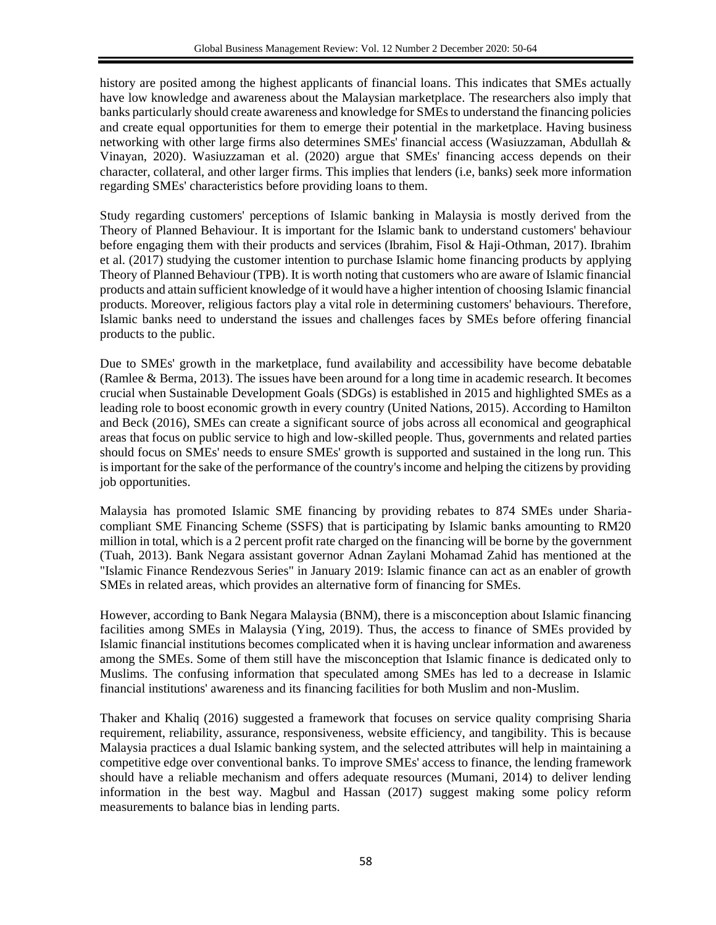history are posited among the highest applicants of financial loans. This indicates that SMEs actually have low knowledge and awareness about the Malaysian marketplace. The researchers also imply that banks particularly should create awareness and knowledge for SMEs to understand the financing policies and create equal opportunities for them to emerge their potential in the marketplace. Having business networking with other large firms also determines SMEs' financial access (Wasiuzzaman, Abdullah & Vinayan, 2020). Wasiuzzaman et al. (2020) argue that SMEs' financing access depends on their character, collateral, and other larger firms. This implies that lenders (i.e, banks) seek more information regarding SMEs' characteristics before providing loans to them.

Study regarding customers' perceptions of Islamic banking in Malaysia is mostly derived from the Theory of Planned Behaviour. It is important for the Islamic bank to understand customers' behaviour before engaging them with their products and services (Ibrahim, Fisol & Haji-Othman, 2017). Ibrahim et al. (2017) studying the customer intention to purchase Islamic home financing products by applying Theory of Planned Behaviour (TPB). It is worth noting that customers who are aware of Islamic financial products and attain sufficient knowledge of it would have a higher intention of choosing Islamic financial products. Moreover, religious factors play a vital role in determining customers' behaviours. Therefore, Islamic banks need to understand the issues and challenges faces by SMEs before offering financial products to the public.

Due to SMEs' growth in the marketplace, fund availability and accessibility have become debatable (Ramlee & Berma, 2013). The issues have been around for a long time in academic research. It becomes crucial when Sustainable Development Goals (SDGs) is established in 2015 and highlighted SMEs as a leading role to boost economic growth in every country (United Nations, 2015). According to Hamilton and Beck (2016), SMEs can create a significant source of jobs across all economical and geographical areas that focus on public service to high and low-skilled people. Thus, governments and related parties should focus on SMEs' needs to ensure SMEs' growth is supported and sustained in the long run. This is important for the sake of the performance of the country's income and helping the citizens by providing job opportunities.

Malaysia has promoted Islamic SME financing by providing rebates to 874 SMEs under Shariacompliant SME Financing Scheme (SSFS) that is participating by Islamic banks amounting to RM20 million in total, which is a 2 percent profit rate charged on the financing will be borne by the government (Tuah, 2013). Bank Negara assistant governor Adnan Zaylani Mohamad Zahid has mentioned at the "Islamic Finance Rendezvous Series" in January 2019: Islamic finance can act as an enabler of growth SMEs in related areas, which provides an alternative form of financing for SMEs.

However, according to Bank Negara Malaysia (BNM), there is a misconception about Islamic financing facilities among SMEs in Malaysia (Ying, 2019). Thus, the access to finance of SMEs provided by Islamic financial institutions becomes complicated when it is having unclear information and awareness among the SMEs. Some of them still have the misconception that Islamic finance is dedicated only to Muslims. The confusing information that speculated among SMEs has led to a decrease in Islamic financial institutions' awareness and its financing facilities for both Muslim and non-Muslim.

Thaker and Khaliq (2016) suggested a framework that focuses on service quality comprising Sharia requirement, reliability, assurance, responsiveness, website efficiency, and tangibility. This is because Malaysia practices a dual Islamic banking system, and the selected attributes will help in maintaining a competitive edge over conventional banks. To improve SMEs' access to finance, the lending framework should have a reliable mechanism and offers adequate resources (Mumani, 2014) to deliver lending information in the best way. Magbul and Hassan (2017) suggest making some policy reform measurements to balance bias in lending parts.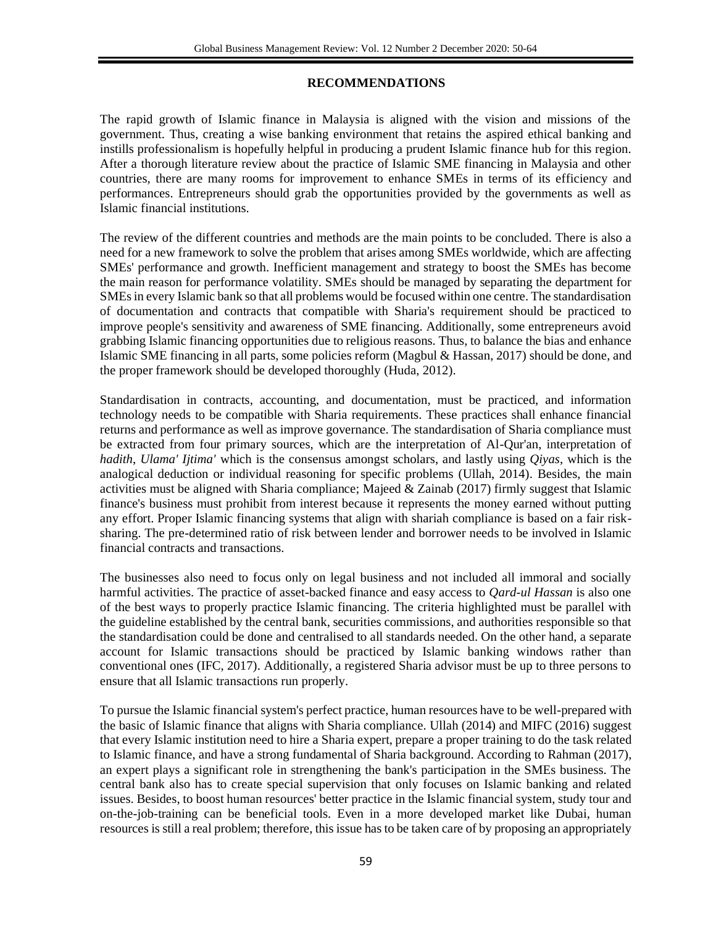## **RECOMMENDATIONS**

The rapid growth of Islamic finance in Malaysia is aligned with the vision and missions of the government. Thus, creating a wise banking environment that retains the aspired ethical banking and instills professionalism is hopefully helpful in producing a prudent Islamic finance hub for this region. After a thorough literature review about the practice of Islamic SME financing in Malaysia and other countries, there are many rooms for improvement to enhance SMEs in terms of its efficiency and performances. Entrepreneurs should grab the opportunities provided by the governments as well as Islamic financial institutions.

The review of the different countries and methods are the main points to be concluded. There is also a need for a new framework to solve the problem that arises among SMEs worldwide, which are affecting SMEs' performance and growth. Inefficient management and strategy to boost the SMEs has become the main reason for performance volatility. SMEs should be managed by separating the department for SMEs in every Islamic bank so that all problems would be focused within one centre. The standardisation of documentation and contracts that compatible with Sharia's requirement should be practiced to improve people's sensitivity and awareness of SME financing. Additionally, some entrepreneurs avoid grabbing Islamic financing opportunities due to religious reasons. Thus, to balance the bias and enhance Islamic SME financing in all parts, some policies reform (Magbul & Hassan, 2017) should be done, and the proper framework should be developed thoroughly (Huda, 2012).

Standardisation in contracts, accounting, and documentation, must be practiced, and information technology needs to be compatible with Sharia requirements. These practices shall enhance financial returns and performance as well as improve governance. The standardisation of Sharia compliance must be extracted from four primary sources, which are the interpretation of Al-Qur'an, interpretation of *hadith*, *Ulama' Ijtima'* which is the consensus amongst scholars, and lastly using *Qiyas*, which is the analogical deduction or individual reasoning for specific problems (Ullah, 2014). Besides, the main activities must be aligned with Sharia compliance; Majeed & Zainab (2017) firmly suggest that Islamic finance's business must prohibit from interest because it represents the money earned without putting any effort. Proper Islamic financing systems that align with shariah compliance is based on a fair risksharing. The pre-determined ratio of risk between lender and borrower needs to be involved in Islamic financial contracts and transactions.

The businesses also need to focus only on legal business and not included all immoral and socially harmful activities. The practice of asset-backed finance and easy access to *Qard-ul Hassan* is also one of the best ways to properly practice Islamic financing. The criteria highlighted must be parallel with the guideline established by the central bank, securities commissions, and authorities responsible so that the standardisation could be done and centralised to all standards needed. On the other hand, a separate account for Islamic transactions should be practiced by Islamic banking windows rather than conventional ones (IFC, 2017). Additionally, a registered Sharia advisor must be up to three persons to ensure that all Islamic transactions run properly.

To pursue the Islamic financial system's perfect practice, human resources have to be well-prepared with the basic of Islamic finance that aligns with Sharia compliance. Ullah (2014) and MIFC (2016) suggest that every Islamic institution need to hire a Sharia expert, prepare a proper training to do the task related to Islamic finance, and have a strong fundamental of Sharia background. According to Rahman (2017), an expert plays a significant role in strengthening the bank's participation in the SMEs business. The central bank also has to create special supervision that only focuses on Islamic banking and related issues. Besides, to boost human resources' better practice in the Islamic financial system, study tour and on-the-job-training can be beneficial tools. Even in a more developed market like Dubai, human resources is still a real problem; therefore, this issue has to be taken care of by proposing an appropriately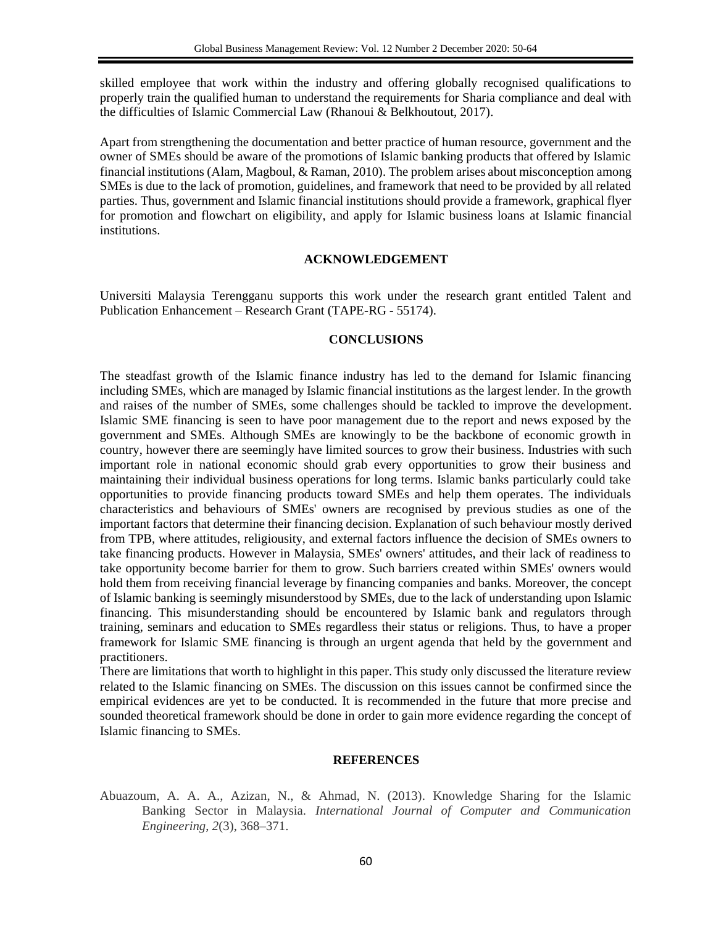skilled employee that work within the industry and offering globally recognised qualifications to properly train the qualified human to understand the requirements for Sharia compliance and deal with the difficulties of Islamic Commercial Law (Rhanoui & Belkhoutout, 2017).

Apart from strengthening the documentation and better practice of human resource, government and the owner of SMEs should be aware of the promotions of Islamic banking products that offered by Islamic financial institutions (Alam, Magboul, & Raman, 2010). The problem arises about misconception among SMEs is due to the lack of promotion, guidelines, and framework that need to be provided by all related parties. Thus, government and Islamic financial institutions should provide a framework, graphical flyer for promotion and flowchart on eligibility, and apply for Islamic business loans at Islamic financial institutions.

### **ACKNOWLEDGEMENT**

Universiti Malaysia Terengganu supports this work under the research grant entitled Talent and Publication Enhancement – Research Grant (TAPE-RG - 55174).

#### **CONCLUSIONS**

The steadfast growth of the Islamic finance industry has led to the demand for Islamic financing including SMEs, which are managed by Islamic financial institutions as the largest lender. In the growth and raises of the number of SMEs, some challenges should be tackled to improve the development. Islamic SME financing is seen to have poor management due to the report and news exposed by the government and SMEs. Although SMEs are knowingly to be the backbone of economic growth in country, however there are seemingly have limited sources to grow their business. Industries with such important role in national economic should grab every opportunities to grow their business and maintaining their individual business operations for long terms. Islamic banks particularly could take opportunities to provide financing products toward SMEs and help them operates. The individuals characteristics and behaviours of SMEs' owners are recognised by previous studies as one of the important factors that determine their financing decision. Explanation of such behaviour mostly derived from TPB, where attitudes, religiousity, and external factors influence the decision of SMEs owners to take financing products. However in Malaysia, SMEs' owners' attitudes, and their lack of readiness to take opportunity become barrier for them to grow. Such barriers created within SMEs' owners would hold them from receiving financial leverage by financing companies and banks. Moreover, the concept of Islamic banking is seemingly misunderstood by SMEs, due to the lack of understanding upon Islamic financing. This misunderstanding should be encountered by Islamic bank and regulators through training, seminars and education to SMEs regardless their status or religions. Thus, to have a proper framework for Islamic SME financing is through an urgent agenda that held by the government and practitioners.

There are limitations that worth to highlight in this paper. This study only discussed the literature review related to the Islamic financing on SMEs. The discussion on this issues cannot be confirmed since the empirical evidences are yet to be conducted. It is recommended in the future that more precise and sounded theoretical framework should be done in order to gain more evidence regarding the concept of Islamic financing to SMEs.

### **REFERENCES**

Abuazoum, A. A. A., Azizan, N., & Ahmad, N. (2013). Knowledge Sharing for the Islamic Banking Sector in Malaysia. *International Journal of Computer and Communication Engineering*, *2*(3), 368–371.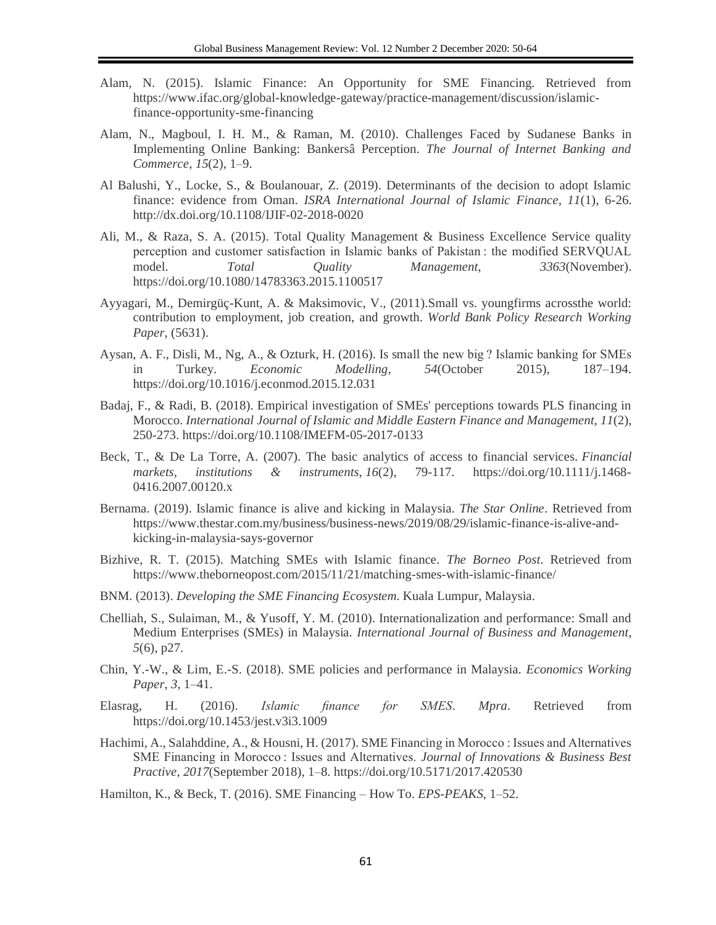- Alam, N. (2015). Islamic Finance: An Opportunity for SME Financing. Retrieved from https://www.ifac.org/global-knowledge-gateway/practice-management/discussion/islamicfinance-opportunity-sme-financing
- Alam, N., Magboul, I. H. M., & Raman, M. (2010). Challenges Faced by Sudanese Banks in Implementing Online Banking: Bankersâ Perception. *The Journal of Internet Banking and Commerce*, *15*(2), 1–9.
- Al Balushi, Y., Locke, S., & Boulanouar, Z. (2019). Determinants of the decision to adopt Islamic finance: evidence from Oman. *ISRA International Journal of Islamic Finance, 11*(1), 6-26. http://dx.doi.org/10.1108/IJIF-02-2018-0020
- Ali, M., & Raza, S. A. (2015). Total Quality Management & Business Excellence Service quality perception and customer satisfaction in Islamic banks of Pakistan : the modified SERVQUAL model. *Total Quality Management*, *3363*(November). https://doi.org/10.1080/14783363.2015.1100517
- Ayyagari, M., Demirgüç-Kunt, A. & Maksimovic, V., (2011).Small vs. youngfirms acrossthe world: contribution to employment, job creation, and growth. *World Bank Policy Research Working Paper*, (5631).
- Aysan, A. F., Disli, M., Ng, A., & Ozturk, H. (2016). Is small the new big ? Islamic banking for SMEs in Turkey. *Economic Modelling*, *54*(October 2015), 187–194. https://doi.org/10.1016/j.econmod.2015.12.031
- Badaj, F., & Radi, B. (2018). Empirical investigation of SMEs' perceptions towards PLS financing in Morocco. *International Journal of Islamic and Middle Eastern Finance and Management, 11*(2), 250-273. https://doi.org/10.1108/IMEFM-05-2017-0133
- Beck, T., & De La Torre, A. (2007). The basic analytics of access to financial services. *Financial markets, institutions & instruments*, *16*(2), 79-117. https://doi.org/10.1111/j.1468- 0416.2007.00120.x
- Bernama. (2019). Islamic finance is alive and kicking in Malaysia. *The Star Online*. Retrieved from https://www.thestar.com.my/business/business-news/2019/08/29/islamic-finance-is-alive-andkicking-in-malaysia-says-governor
- Bizhive, R. T. (2015). Matching SMEs with Islamic finance. *The Borneo Post*. Retrieved from https://www.theborneopost.com/2015/11/21/matching-smes-with-islamic-finance/
- BNM. (2013). *Developing the SME Financing Ecosystem*. Kuala Lumpur, Malaysia.
- Chelliah, S., Sulaiman, M., & Yusoff, Y. M. (2010). Internationalization and performance: Small and Medium Enterprises (SMEs) in Malaysia. *International Journal of Business and Management*, *5*(6), p27.
- Chin, Y.-W., & Lim, E.-S. (2018). SME policies and performance in Malaysia. *Economics Working Paper*, *3*, 1–41.
- Elasrag, H. (2016). *Islamic finance for SMES*. *Mpra*. Retrieved from https://doi.org/10.1453/jest.v3i3.1009
- Hachimi, A., Salahddine, A., & Housni, H. (2017). SME Financing in Morocco : Issues and Alternatives SME Financing in Morocco : Issues and Alternatives. *Journal of Innovations & Business Best Practive*, *2017*(September 2018), 1–8. https://doi.org/10.5171/2017.420530

Hamilton, K., & Beck, T. (2016). SME Financing – How To. *EPS-PEAKS*, 1–52.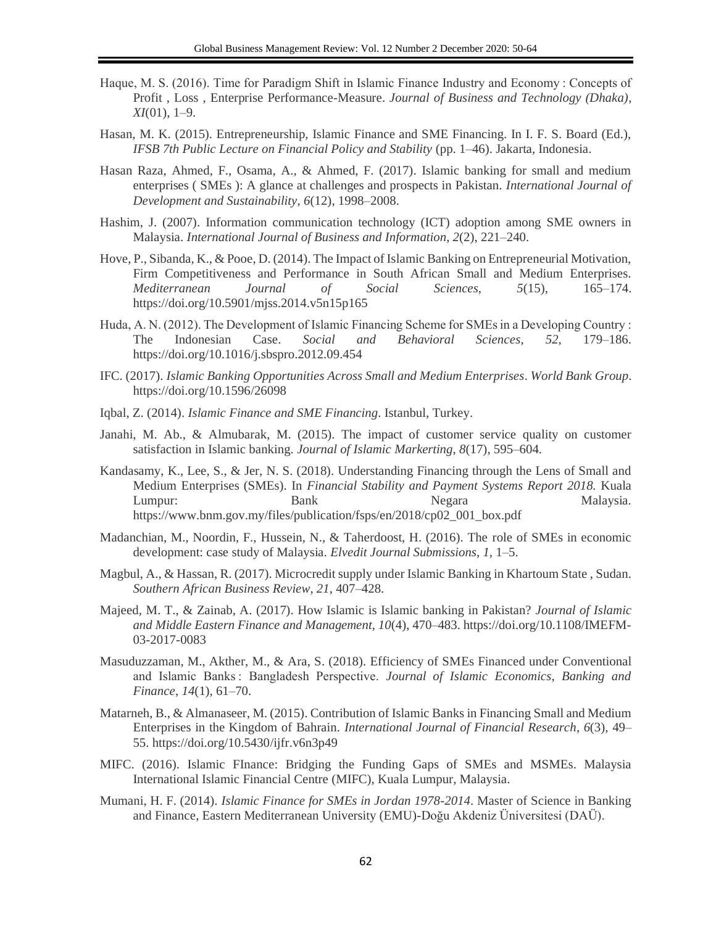- Haque, M. S. (2016). Time for Paradigm Shift in Islamic Finance Industry and Economy : Concepts of Profit , Loss , Enterprise Performance-Measure. *Journal of Business and Technology (Dhaka)*, *XI*(01), 1–9.
- Hasan, M. K. (2015). Entrepreneurship, Islamic Finance and SME Financing. In I. F. S. Board (Ed.), *IFSB 7th Public Lecture on Financial Policy and Stability* (pp. 1–46). Jakarta, Indonesia.
- Hasan Raza, Ahmed, F., Osama, A., & Ahmed, F. (2017). Islamic banking for small and medium enterprises ( SMEs ): A glance at challenges and prospects in Pakistan. *International Journal of Development and Sustainability*, *6*(12), 1998–2008.
- Hashim, J. (2007). Information communication technology (ICT) adoption among SME owners in Malaysia. *International Journal of Business and Information*, *2*(2), 221–240.
- Hove, P., Sibanda, K., & Pooe, D. (2014). The Impact of Islamic Banking on Entrepreneurial Motivation, Firm Competitiveness and Performance in South African Small and Medium Enterprises. *Mediterranean Journal of Social Sciences*, *5*(15), 165–174. https://doi.org/10.5901/mjss.2014.v5n15p165
- Huda, A. N. (2012). The Development of Islamic Financing Scheme for SMEs in a Developing Country : The Indonesian Case. *Social and Behavioral Sciences*, *52*, 179–186. https://doi.org/10.1016/j.sbspro.2012.09.454
- IFC. (2017). *Islamic Banking Opportunities Across Small and Medium Enterprises*. *World Bank Group*. https://doi.org/10.1596/26098
- Iqbal, Z. (2014). *Islamic Finance and SME Financing*. Istanbul, Turkey.
- Janahi, M. Ab., & Almubarak, M. (2015). The impact of customer service quality on customer satisfaction in Islamic banking. *Journal of Islamic Markerting*, *8*(17), 595–604.
- Kandasamy, K., Lee, S., & Jer, N. S. (2018). Understanding Financing through the Lens of Small and Medium Enterprises (SMEs). In *Financial Stability and Payment Systems Report 2018.* Kuala Lumpur: Bank Negara Malaysia. https://www.bnm.gov.my/files/publication/fsps/en/2018/cp02\_001\_box.pdf
- Madanchian, M., Noordin, F., Hussein, N., & Taherdoost, H. (2016). The role of SMEs in economic development: case study of Malaysia. *Elvedit Journal Submissions*, *1*, 1–5.
- Magbul, A., & Hassan, R. (2017). Microcredit supply under Islamic Banking in Khartoum State , Sudan. *Southern African Business Review*, *21*, 407–428.
- Majeed, M. T., & Zainab, A. (2017). How Islamic is Islamic banking in Pakistan? *Journal of Islamic and Middle Eastern Finance and Management*, *10*(4), 470–483. https://doi.org/10.1108/IMEFM-03-2017-0083
- Masuduzzaman, M., Akther, M., & Ara, S. (2018). Efficiency of SMEs Financed under Conventional and Islamic Banks : Bangladesh Perspective. *Journal of Islamic Economics, Banking and Finance*, *14*(1), 61–70.
- Matarneh, B., & Almanaseer, M. (2015). Contribution of Islamic Banks in Financing Small and Medium Enterprises in the Kingdom of Bahrain. *International Journal of Financial Research*, *6*(3), 49– 55. https://doi.org/10.5430/ijfr.v6n3p49
- MIFC. (2016). Islamic FInance: Bridging the Funding Gaps of SMEs and MSMEs. Malaysia International Islamic Financial Centre (MIFC), Kuala Lumpur, Malaysia.
- Mumani, H. F. (2014). *Islamic Finance for SMEs in Jordan 1978-2014*. Master of Science in Banking and Finance, Eastern Mediterranean University (EMU)-Doğu Akdeniz Üniversitesi (DAÜ).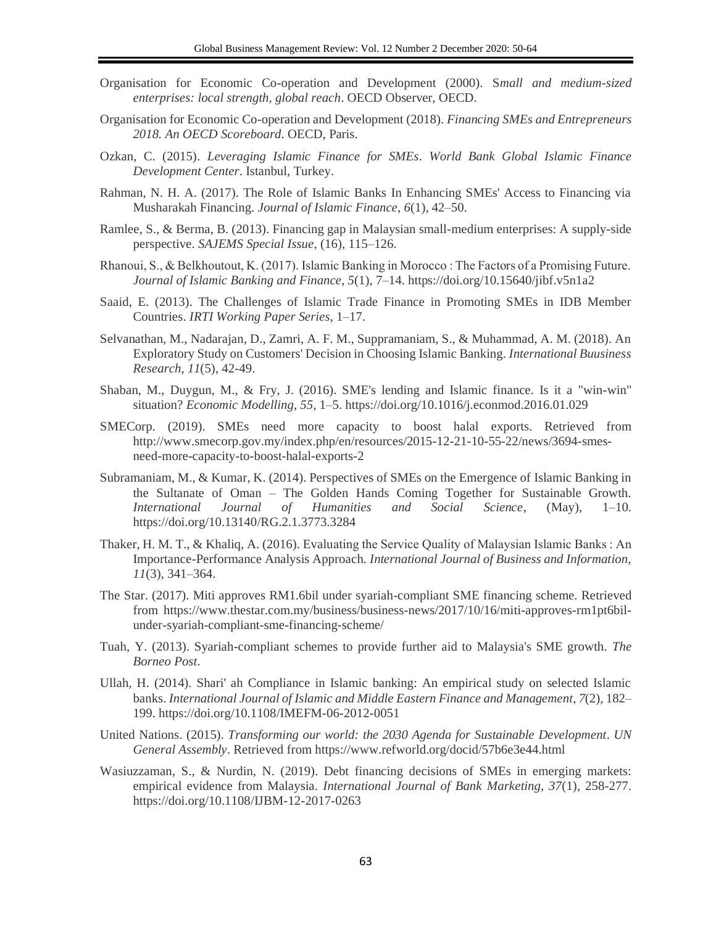- Organisation for Economic Co-operation and Development (2000). S*mall and medium-sized enterprises: local strength, global reach*. OECD Observer, OECD.
- Organisation for Economic Co-operation and Development (2018). *Financing SMEs and Entrepreneurs 2018. An OECD Scoreboard*. OECD, Paris.
- Ozkan, C. (2015). *Leveraging Islamic Finance for SMEs*. *World Bank Global Islamic Finance Development Center*. Istanbul, Turkey.
- Rahman, N. H. A. (2017). The Role of Islamic Banks In Enhancing SMEs' Access to Financing via Musharakah Financing. *Journal of Islamic Finance*, *6*(1), 42–50.
- Ramlee, S., & Berma, B. (2013). Financing gap in Malaysian small-medium enterprises: A supply-side perspective. *SAJEMS Special Issue*, (16), 115–126.
- Rhanoui, S., & Belkhoutout, K. (2017). Islamic Banking in Morocco : The Factors of a Promising Future. *Journal of Islamic Banking and Finance*, *5*(1), 7–14. https://doi.org/10.15640/jibf.v5n1a2
- Saaid, E. (2013). The Challenges of Islamic Trade Finance in Promoting SMEs in IDB Member Countries. *IRTI Working Paper Series*, 1–17.
- Selvanathan, M., Nadarajan, D., Zamri, A. F. M., Suppramaniam, S., & Muhammad, A. M. (2018). An Exploratory Study on Customers' Decision in Choosing Islamic Banking. *International Buusiness Research, 11*(5), 42-49.
- Shaban, M., Duygun, M., & Fry, J. (2016). SME's lending and Islamic finance. Is it a "win-win" situation? *Economic Modelling*, *55*, 1–5. https://doi.org/10.1016/j.econmod.2016.01.029
- SMECorp. (2019). SMEs need more capacity to boost halal exports. Retrieved from http://www.smecorp.gov.my/index.php/en/resources/2015-12-21-10-55-22/news/3694-smesneed-more-capacity-to-boost-halal-exports-2
- Subramaniam, M., & Kumar, K. (2014). Perspectives of SMEs on the Emergence of Islamic Banking in the Sultanate of Oman – The Golden Hands Coming Together for Sustainable Growth. *International Journal of Humanities and Social Science*, (May), 1–10. https://doi.org/10.13140/RG.2.1.3773.3284
- Thaker, H. M. T., & Khaliq, A. (2016). Evaluating the Service Quality of Malaysian Islamic Banks : An Importance-Performance Analysis Approach. *International Journal of Business and Information*, *11*(3), 341–364.
- The Star. (2017). Miti approves RM1.6bil under syariah-compliant SME financing scheme. Retrieved from https://www.thestar.com.my/business/business-news/2017/10/16/miti-approves-rm1pt6bilunder-syariah-compliant-sme-financing-scheme/
- Tuah, Y. (2013). Syariah-compliant schemes to provide further aid to Malaysia's SME growth. *The Borneo Post*.
- Ullah, H. (2014). Shari' ah Compliance in Islamic banking: An empirical study on selected Islamic banks. *International Journal of Islamic and Middle Eastern Finance and Management*, *7*(2), 182– 199. https://doi.org/10.1108/IMEFM-06-2012-0051
- United Nations. (2015). *Transforming our world: the 2030 Agenda for Sustainable Development*. *UN General Assembly*. Retrieved from https://www.refworld.org/docid/57b6e3e44.html
- Wasiuzzaman, S., & Nurdin, N. (2019). Debt financing decisions of SMEs in emerging markets: empirical evidence from Malaysia. *International Journal of Bank Marketing, 37*(1), 258-277. https://doi.org/10.1108/IJBM-12-2017-0263